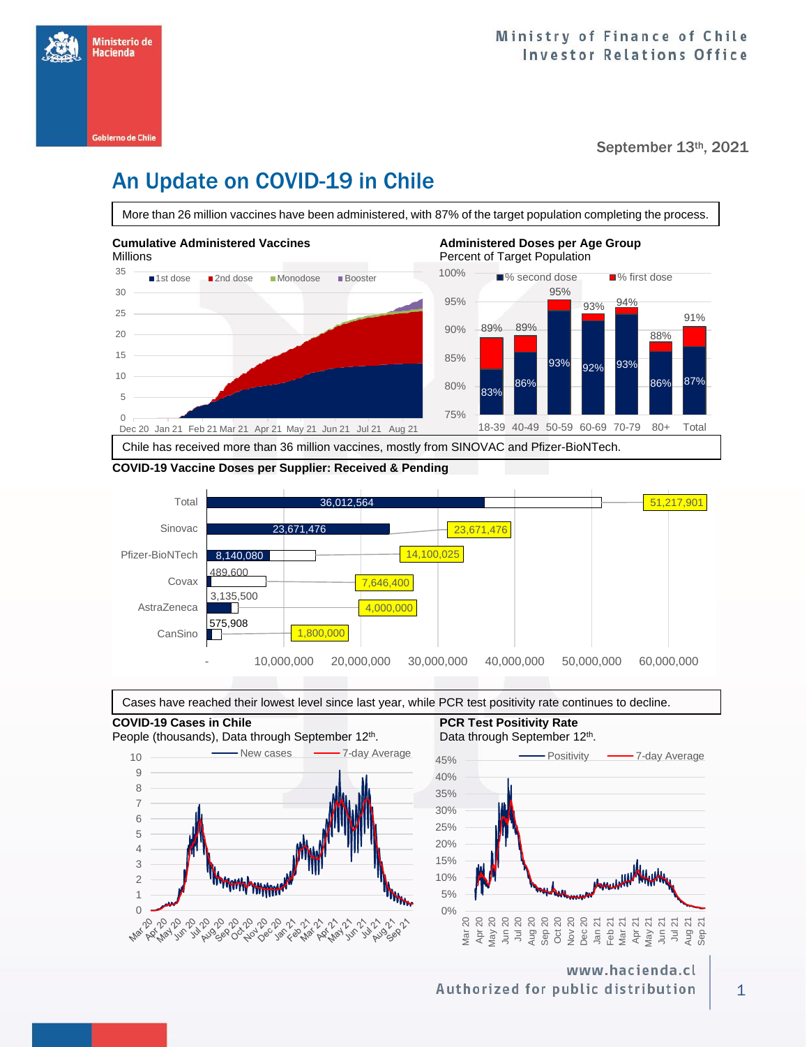

September 13th, 2021

# An Update on COVID-19 in Chile

More than 26 million vaccines have been administered, with 87% of the target population completing the process.



### **COVID-19 Vaccine Doses per Supplier: Received & Pending**





**COVID-19 Cases in Chile PCR Test Positivity Rate PCR Test Positivity Rate** People (thousands), Data through September 12<sup>th</sup>. 10 Wew cases **2006** 7-day Average 9 8 7 6 5 4 3 www.www 2 1 ري المحولة المحاديم المحادث المحادث المحادث المحادث المحادث المحادث المحادث المحادث المحادث المحادث المحادث ا<br>المحادث المحادث المحادث المحادث المحادث المحادث المحادث المحادث المحادث المحادث المحادث المحادث المحادث المحاد<br> **Nar** 110,00



www.hacienda.cl Authorized for public distribution